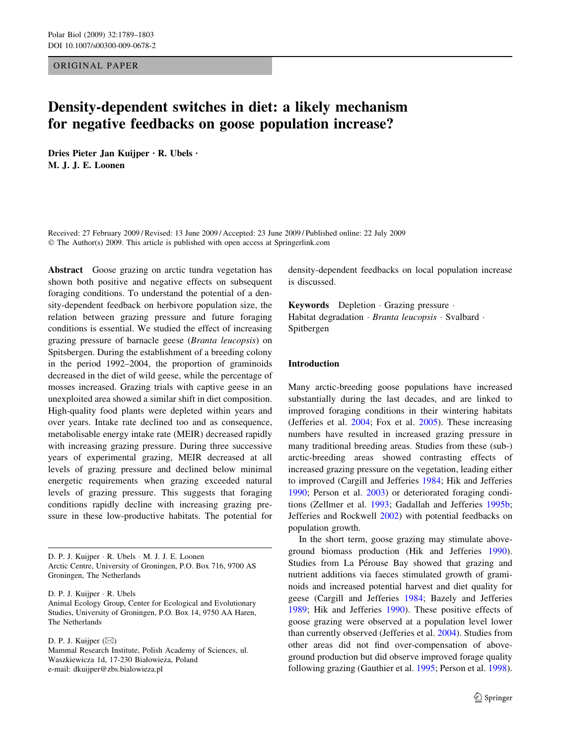ORIGINAL PAPER

# Density-dependent switches in diet: a likely mechanism for negative feedbacks on goose population increase?

Dries Pieter Jan Kuijper · R. Ubels · M. J. J. E. Loonen

Received: 27 February 2009 / Revised: 13 June 2009 / Accepted: 23 June 2009 / Published online: 22 July 2009  $\odot$  The Author(s) 2009. This article is published with open access at Springerlink.com

Abstract Goose grazing on arctic tundra vegetation has shown both positive and negative effects on subsequent foraging conditions. To understand the potential of a density-dependent feedback on herbivore population size, the relation between grazing pressure and future foraging conditions is essential. We studied the effect of increasing grazing pressure of barnacle geese (Branta leucopsis) on Spitsbergen. During the establishment of a breeding colony in the period 1992–2004, the proportion of graminoids decreased in the diet of wild geese, while the percentage of mosses increased. Grazing trials with captive geese in an unexploited area showed a similar shift in diet composition. High-quality food plants were depleted within years and over years. Intake rate declined too and as consequence, metabolisable energy intake rate (MEIR) decreased rapidly with increasing grazing pressure. During three successive years of experimental grazing, MEIR decreased at all levels of grazing pressure and declined below minimal energetic requirements when grazing exceeded natural levels of grazing pressure. This suggests that foraging conditions rapidly decline with increasing grazing pressure in these low-productive habitats. The potential for

D. P. J. Kuijper · R. Ubels · M. J. J. E. Loonen Arctic Centre, University of Groningen, P.O. Box 716, 9700 AS Groningen, The Netherlands

D. P. J. Kuijper · R. Ubels Animal Ecology Group, Center for Ecological and Evolutionary Studies, University of Groningen, P.O. Box 14, 9750 AA Haren, The Netherlands

D. P. J. Kuijper  $(\boxtimes)$ Mammal Research Institute, Polish Academy of Sciences, ul. Waszkiewicza 1d, 17-230 Białowieza, Poland *\_* e-mail: dkuijper@zbs.bialowieza.pl

density-dependent feedbacks on local population increase is discussed.

**Keywords** Depletion  $\cdot$  Grazing pressure  $\cdot$ Habitat degradation · Branta leucopsis · Svalbard · Spitbergen

# Introduction

Many arctic-breeding goose populations have increased substantially during the last decades, and are linked to improved foraging conditions in their wintering habitats (Jefferies et al. [2004;](#page-13-0) Fox et al. [2005\)](#page-13-0). These increasing numbers have resulted in increased grazing pressure in many traditional breeding areas. Studies from these (sub-) arctic-breeding areas showed contrasting effects of increased grazing pressure on the vegetation, leading either to improved (Cargill and Jefferies [1984](#page-13-0); Hik and Jefferies [1990](#page-13-0); Person et al. [2003](#page-13-0)) or deteriorated foraging conditions (Zellmer et al. [1993](#page-14-0); Gadallah and Jefferies [1995b](#page-13-0); Jefferies and Rockwell [2002\)](#page-13-0) with potential feedbacks on population growth.

In the short term, goose grazing may stimulate aboveground biomass production (Hik and Jefferies [1990](#page-13-0)). Studies from La Pérouse Bay showed that grazing and nutrient additions via faeces stimulated growth of graminoids and increased potential harvest and diet quality for geese (Cargill and Jefferies [1984](#page-13-0); Bazely and Jefferies [1989](#page-12-0); Hik and Jefferies [1990\)](#page-13-0). These positive effects of goose grazing were observed at a population level lower than currently observed (Jefferies et al. [2004\)](#page-13-0). Studies from other areas did not find over-compensation of aboveground production but did observe improved forage quality following grazing (Gauthier et al. [1995](#page-13-0); Person et al. [1998](#page-13-0)).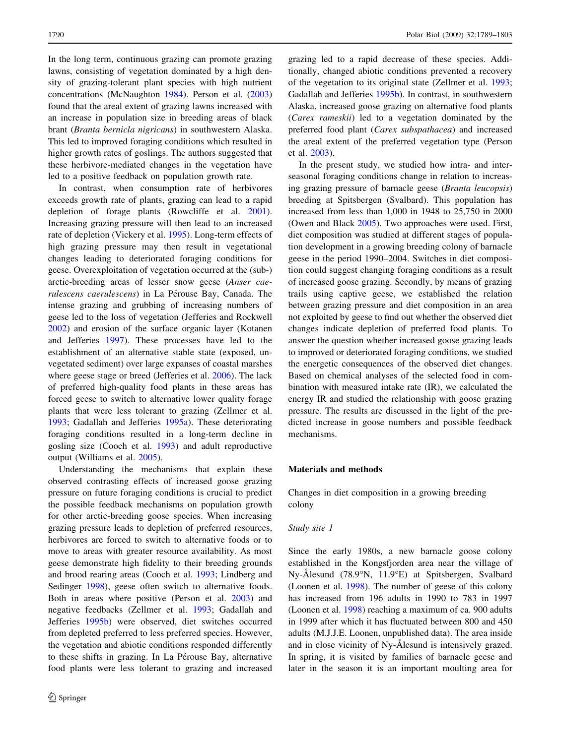<span id="page-1-0"></span>In the long term, continuous grazing can promote grazing lawns, consisting of vegetation dominated by a high density of grazing-tolerant plant species with high nutrient concentrations (McNaughton [1984](#page-13-0)). Person et al. ([2003\)](#page-13-0) found that the areal extent of grazing lawns increased with an increase in population size in breeding areas of black brant (Branta bernicla nigricans) in southwestern Alaska. This led to improved foraging conditions which resulted in higher growth rates of goslings. The authors suggested that these herbivore-mediated changes in the vegetation have led to a positive feedback on population growth rate.

In contrast, when consumption rate of herbivores exceeds growth rate of plants, grazing can lead to a rapid depletion of forage plants (Rowcliffe et al. [2001](#page-14-0)). Increasing grazing pressure will then lead to an increased rate of depletion (Vickery et al. [1995](#page-14-0)). Long-term effects of high grazing pressure may then result in vegetational changes leading to deteriorated foraging conditions for geese. Overexploitation of vegetation occurred at the (sub-) arctic-breeding areas of lesser snow geese (Anser caerulescens caerulescens) in La Pérouse Bay, Canada. The intense grazing and grubbing of increasing numbers of geese led to the loss of vegetation (Jefferies and Rockwell [2002\)](#page-13-0) and erosion of the surface organic layer (Kotanen and Jefferies [1997\)](#page-13-0). These processes have led to the establishment of an alternative stable state (exposed, unvegetated sediment) over large expanses of coastal marshes where geese stage or breed (Jefferies et al. [2006](#page-13-0)). The lack of preferred high-quality food plants in these areas has forced geese to switch to alternative lower quality forage plants that were less tolerant to grazing (Zellmer et al. [1993;](#page-14-0) Gadallah and Jefferies [1995a\)](#page-13-0). These deteriorating foraging conditions resulted in a long-term decline in gosling size (Cooch et al. [1993](#page-13-0)) and adult reproductive output (Williams et al. [2005](#page-14-0)).

Understanding the mechanisms that explain these observed contrasting effects of increased goose grazing pressure on future foraging conditions is crucial to predict the possible feedback mechanisms on population growth for other arctic-breeding goose species. When increasing grazing pressure leads to depletion of preferred resources, herbivores are forced to switch to alternative foods or to move to areas with greater resource availability. As most geese demonstrate high fidelity to their breeding grounds and brood rearing areas (Cooch et al. [1993](#page-13-0); Lindberg and Sedinger [1998](#page-13-0)), geese often switch to alternative foods. Both in areas where positive (Person et al. [2003\)](#page-13-0) and negative feedbacks (Zellmer et al. [1993;](#page-14-0) Gadallah and Jefferies [1995b](#page-13-0)) were observed, diet switches occurred from depleted preferred to less preferred species. However, the vegetation and abiotic conditions responded differently to these shifts in grazing. In La Pérouse Bay, alternative food plants were less tolerant to grazing and increased grazing led to a rapid decrease of these species. Additionally, changed abiotic conditions prevented a recovery of the vegetation to its original state (Zellmer et al. [1993](#page-14-0); Gadallah and Jefferies [1995b](#page-13-0)). In contrast, in southwestern Alaska, increased goose grazing on alternative food plants (Carex rameskii) led to a vegetation dominated by the preferred food plant (Carex subspathacea) and increased the areal extent of the preferred vegetation type (Person et al. [2003\)](#page-13-0).

In the present study, we studied how intra- and interseasonal foraging conditions change in relation to increasing grazing pressure of barnacle geese (Branta leucopsis) breeding at Spitsbergen (Svalbard). This population has increased from less than 1,000 in 1948 to 25,750 in 2000 (Owen and Black [2005\)](#page-13-0). Two approaches were used. First, diet composition was studied at different stages of population development in a growing breeding colony of barnacle geese in the period 1990–2004. Switches in diet composition could suggest changing foraging conditions as a result of increased goose grazing. Secondly, by means of grazing trails using captive geese, we established the relation between grazing pressure and diet composition in an area not exploited by geese to find out whether the observed diet changes indicate depletion of preferred food plants. To answer the question whether increased goose grazing leads to improved or deteriorated foraging conditions, we studied the energetic consequences of the observed diet changes. Based on chemical analyses of the selected food in combination with measured intake rate (IR), we calculated the energy IR and studied the relationship with goose grazing pressure. The results are discussed in the light of the predicted increase in goose numbers and possible feedback mechanisms.

# Materials and methods

Changes in diet composition in a growing breeding colony

## Study site 1

Since the early 1980s, a new barnacle goose colony established in the Kongsfjorden area near the village of Ny-Ålesund (78.9°N, 11.9°E) at Spitsbergen, Svalbard (Loonen et al. [1998](#page-13-0)). The number of geese of this colony has increased from 196 adults in 1990 to 783 in 1997 (Loonen et al. [1998\)](#page-13-0) reaching a maximum of ca. 900 adults in 1999 after which it has fluctuated between 800 and 450 adults (M.J.J.E. Loonen, unpublished data). The area inside and in close vicinity of Ny-Ålesund is intensively grazed. In spring, it is visited by families of barnacle geese and later in the season it is an important moulting area for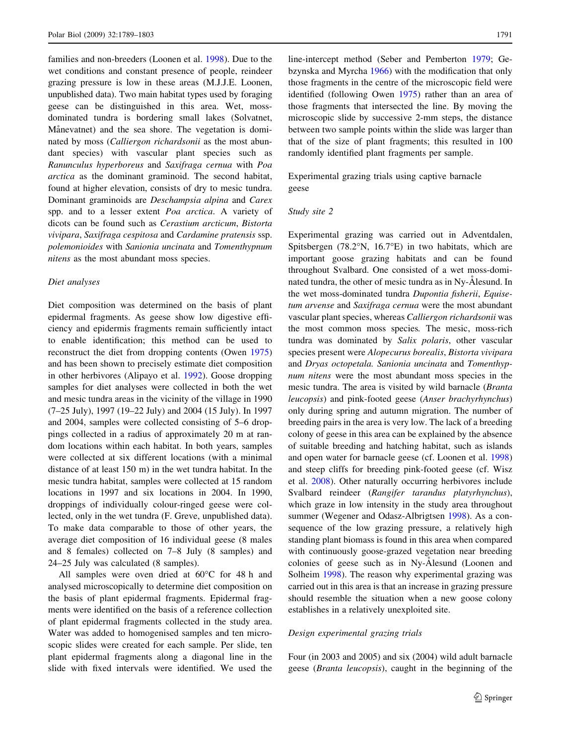families and non-breeders (Loonen et al. [1998](#page-13-0)). Due to the wet conditions and constant presence of people, reindeer grazing pressure is low in these areas (M.J.J.E. Loonen, unpublished data). Two main habitat types used by foraging geese can be distinguished in this area. Wet, mossdominated tundra is bordering small lakes (Solvatnet, Månevatnet) and the sea shore. The vegetation is dominated by moss (Calliergon richardsonii as the most abundant species) with vascular plant species such as Ranunculus hyperboreus and Saxifraga cernua with Poa arctica as the dominant graminoid. The second habitat, found at higher elevation, consists of dry to mesic tundra. Dominant graminoids are Deschampsia alpina and Carex spp. and to a lesser extent Poa arctica. A variety of dicots can be found such as Cerastium arcticum, Bistorta vivipara, Saxifraga cespitosa and Cardamine pratensis ssp. polemonioides with Sanionia uncinata and Tomenthypnum nitens as the most abundant moss species.

## Diet analyses

Diet composition was determined on the basis of plant epidermal fragments. As geese show low digestive efficiency and epidermis fragments remain sufficiently intact to enable identification; this method can be used to reconstruct the diet from dropping contents (Owen [1975\)](#page-13-0) and has been shown to precisely estimate diet composition in other herbivores (Alipayo et al. [1992\)](#page-12-0). Goose dropping samples for diet analyses were collected in both the wet and mesic tundra areas in the vicinity of the village in 1990 (7–25 July), 1997 (19–22 July) and 2004 (15 July). In 1997 and 2004, samples were collected consisting of 5–6 droppings collected in a radius of approximately 20 m at random locations within each habitat. In both years, samples were collected at six different locations (with a minimal distance of at least 150 m) in the wet tundra habitat. In the mesic tundra habitat, samples were collected at 15 random locations in 1997 and six locations in 2004. In 1990, droppings of individually colour-ringed geese were collected, only in the wet tundra (F. Greve, unpublished data). To make data comparable to those of other years, the average diet composition of 16 individual geese (8 males and 8 females) collected on 7–8 July (8 samples) and 24–25 July was calculated (8 samples).

All samples were oven dried at  $60^{\circ}$ C for 48 h and analysed microscopically to determine diet composition on the basis of plant epidermal fragments. Epidermal fragments were identified on the basis of a reference collection of plant epidermal fragments collected in the study area. Water was added to homogenised samples and ten microscopic slides were created for each sample. Per slide, ten plant epidermal fragments along a diagonal line in the slide with fixed intervals were identified. We used the line-intercept method (Seber and Pemberton [1979](#page-14-0); Gebzynska and Myrcha [1966](#page-13-0)) with the modification that only those fragments in the centre of the microscopic field were identified (following Owen [1975](#page-13-0)) rather than an area of those fragments that intersected the line. By moving the microscopic slide by successive 2-mm steps, the distance between two sample points within the slide was larger than that of the size of plant fragments; this resulted in 100 randomly identified plant fragments per sample.

Experimental grazing trials using captive barnacle geese

# Study site 2

Experimental grazing was carried out in Adventdalen, Spitsbergen (78.2°N, 16.7°E) in two habitats, which are important goose grazing habitats and can be found throughout Svalbard. One consisted of a wet moss-dominated tundra, the other of mesic tundra as in Ny-Alesund. In the wet moss-dominated tundra Dupontia fisherii, Equisetum arvense and Saxifraga cernua were the most abundant vascular plant species, whereas Calliergon richardsonii was the most common moss species. The mesic, moss-rich tundra was dominated by Salix polaris, other vascular species present were Alopecurus borealis, Bistorta vivipara and Dryas octopetala. Sanionia uncinata and Tomenthypnum nitens were the most abundant moss species in the mesic tundra. The area is visited by wild barnacle (Branta leucopsis) and pink-footed geese (Anser brachyrhynchus) only during spring and autumn migration. The number of breeding pairs in the area is very low. The lack of a breeding colony of geese in this area can be explained by the absence of suitable breeding and hatching habitat, such as islands and open water for barnacle geese (cf. Loonen et al. [1998\)](#page-13-0) and steep cliffs for breeding pink-footed geese (cf. Wisz et al. [2008\)](#page-14-0). Other naturally occurring herbivores include Svalbard reindeer (Rangifer tarandus platyrhynchus), which graze in low intensity in the study area throughout summer (Wegener and Odasz-Albrigtsen [1998\)](#page-14-0). As a consequence of the low grazing pressure, a relatively high standing plant biomass is found in this area when compared with continuously goose-grazed vegetation near breeding colonies of geese such as in Ny-Alesund (Loonen and Solheim [1998\)](#page-13-0). The reason why experimental grazing was carried out in this area is that an increase in grazing pressure should resemble the situation when a new goose colony establishes in a relatively unexploited site.

## Design experimental grazing trials

Four (in 2003 and 2005) and six (2004) wild adult barnacle geese (Branta leucopsis), caught in the beginning of the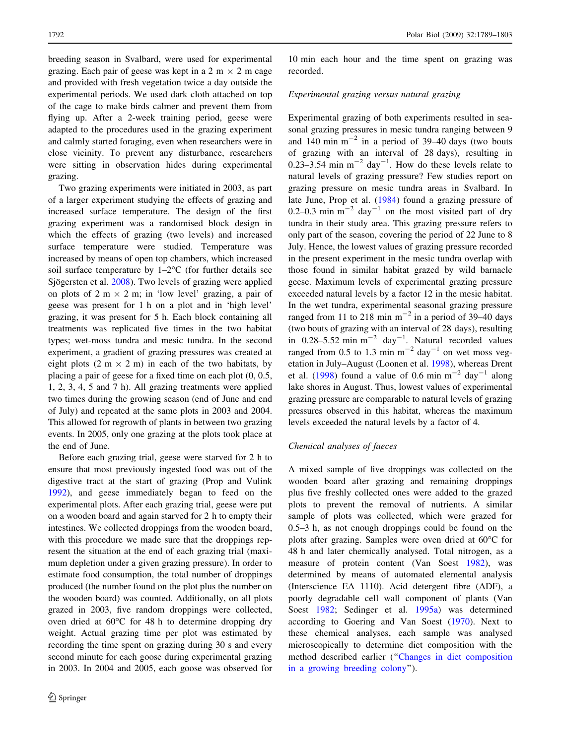breeding season in Svalbard, were used for experimental grazing. Each pair of geese was kept in a 2 m  $\times$  2 m cage and provided with fresh vegetation twice a day outside the experimental periods. We used dark cloth attached on top of the cage to make birds calmer and prevent them from flying up. After a 2-week training period, geese were adapted to the procedures used in the grazing experiment and calmly started foraging, even when researchers were in close vicinity. To prevent any disturbance, researchers were sitting in observation hides during experimental grazing.

Two grazing experiments were initiated in 2003, as part of a larger experiment studying the effects of grazing and increased surface temperature. The design of the first grazing experiment was a randomised block design in which the effects of grazing (two levels) and increased surface temperature were studied. Temperature was increased by means of open top chambers, which increased soil surface temperature by  $1-2$ <sup>o</sup>C (for further details see Sjögersten et al. [2008](#page-14-0)). Two levels of grazing were applied on plots of 2 m  $\times$  2 m; in 'low level' grazing, a pair of geese was present for 1 h on a plot and in 'high level' grazing, it was present for 5 h. Each block containing all treatments was replicated five times in the two habitat types; wet-moss tundra and mesic tundra. In the second experiment, a gradient of grazing pressures was created at eight plots  $(2 \text{ m} \times 2 \text{ m})$  in each of the two habitats, by placing a pair of geese for a fixed time on each plot (0, 0.5, 1, 2, 3, 4, 5 and 7 h). All grazing treatments were applied two times during the growing season (end of June and end of July) and repeated at the same plots in 2003 and 2004. This allowed for regrowth of plants in between two grazing events. In 2005, only one grazing at the plots took place at the end of June.

Before each grazing trial, geese were starved for 2 h to ensure that most previously ingested food was out of the digestive tract at the start of grazing (Prop and Vulink [1992\)](#page-13-0), and geese immediately began to feed on the experimental plots. After each grazing trial, geese were put on a wooden board and again starved for 2 h to empty their intestines. We collected droppings from the wooden board, with this procedure we made sure that the droppings represent the situation at the end of each grazing trial (maximum depletion under a given grazing pressure). In order to estimate food consumption, the total number of droppings produced (the number found on the plot plus the number on the wooden board) was counted. Additionally, on all plots grazed in 2003, five random droppings were collected, oven dried at 60°C for 48 h to determine dropping dry weight. Actual grazing time per plot was estimated by recording the time spent on grazing during 30 s and every second minute for each goose during experimental grazing in 2003. In 2004 and 2005, each goose was observed for

10 min each hour and the time spent on grazing was recorded.

## Experimental grazing versus natural grazing

Experimental grazing of both experiments resulted in seasonal grazing pressures in mesic tundra ranging between 9 and 140 min  $m^{-2}$  in a period of 39–40 days (two bouts of grazing with an interval of 28 days), resulting in 0.23–3.54 min  $m^{-2}$  day<sup>-1</sup>. How do these levels relate to natural levels of grazing pressure? Few studies report on grazing pressure on mesic tundra areas in Svalbard. In late June, Prop et al. [\(1984](#page-13-0)) found a grazing pressure of 0.2–0.3 min  $m^{-2}$  day<sup>-1</sup> on the most visited part of dry tundra in their study area. This grazing pressure refers to only part of the season, covering the period of 22 June to 8 July. Hence, the lowest values of grazing pressure recorded in the present experiment in the mesic tundra overlap with those found in similar habitat grazed by wild barnacle geese. Maximum levels of experimental grazing pressure exceeded natural levels by a factor 12 in the mesic habitat. In the wet tundra, experimental seasonal grazing pressure ranged from 11 to 218 min  $m^{-2}$  in a period of 39–40 days (two bouts of grazing with an interval of 28 days), resulting in  $0.28-5.52$  min m<sup>-2</sup> day<sup>-1</sup>. Natural recorded values ranged from 0.5 to 1.3 min  $m^{-2}$  day<sup>-1</sup> on wet moss vegetation in July–August (Loonen et al. [1998\)](#page-13-0), whereas Drent et al. [\(1998](#page-13-0)) found a value of 0.6 min  $m^{-2}$  day<sup>-1</sup> along lake shores in August. Thus, lowest values of experimental grazing pressure are comparable to natural levels of grazing pressures observed in this habitat, whereas the maximum levels exceeded the natural levels by a factor of 4.

# Chemical analyses of faeces

A mixed sample of five droppings was collected on the wooden board after grazing and remaining droppings plus five freshly collected ones were added to the grazed plots to prevent the removal of nutrients. A similar sample of plots was collected, which were grazed for 0.5–3 h, as not enough droppings could be found on the plots after grazing. Samples were oven dried at 60°C for 48 h and later chemically analysed. Total nitrogen, as a measure of protein content (Van Soest [1982\)](#page-14-0), was determined by means of automated elemental analysis (Interscience EA 1110). Acid detergent fibre (ADF), a poorly degradable cell wall component of plants (Van Soest [1982](#page-14-0); Sedinger et al. [1995a](#page-14-0)) was determined according to Goering and Van Soest ([1970\)](#page-13-0). Next to these chemical analyses, each sample was analysed microscopically to determine diet composition with the method described earlier ('['Changes in diet composition](#page-1-0) [in a growing breeding colony'](#page-1-0)').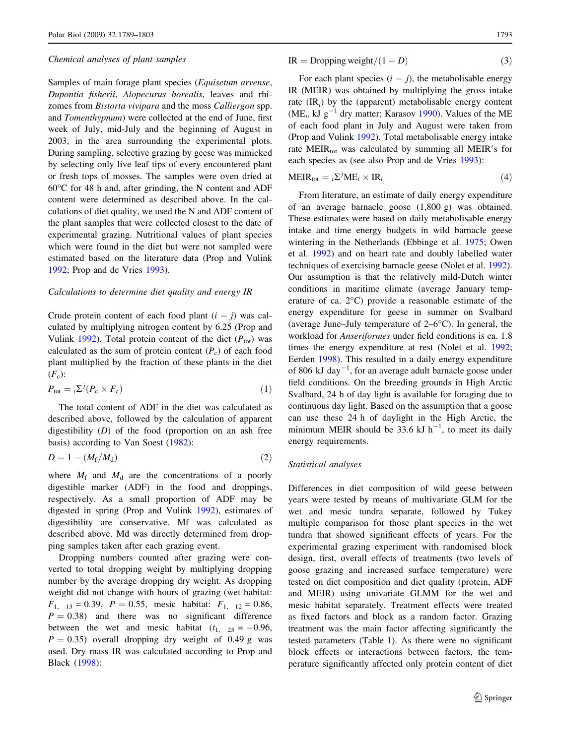#### Chemical analyses of plant samples

Samples of main forage plant species (Equisetum arvense, Dupontia fisherii, Alopecurus borealis, leaves and rhizomes from Bistorta vivipara and the moss Calliergon spp. and Tomenthypnum) were collected at the end of June, first week of July, mid-July and the beginning of August in 2003, in the area surrounding the experimental plots. During sampling, selective grazing by geese was mimicked by selecting only live leaf tips of every encountered plant or fresh tops of mosses. The samples were oven dried at  $60^{\circ}$ C for 48 h and, after grinding, the N content and ADF content were determined as described above. In the calculations of diet quality, we used the N and ADF content of the plant samples that were collected closest to the date of experimental grazing. Nutritional values of plant species which were found in the diet but were not sampled were estimated based on the literature data (Prop and Vulink [1992;](#page-13-0) Prop and de Vries [1993\)](#page-13-0).

#### Calculations to determine diet quality and energy IR

Crude protein content of each food plant  $(i - j)$  was calculated by multiplying nitrogen content by 6.25 (Prop and Vulink [1992\)](#page-13-0). Total protein content of the diet  $(P_{\text{tot}})$  was calculated as the sum of protein content  $(P_c)$  of each food plant multiplied by the fraction of these plants in the diet  $(F_c)$ :

$$
P_{\text{tot}} = {}_i \Sigma^j (P_{\text{c}} \times F_{\text{c}}) \tag{1}
$$

The total content of ADF in the diet was calculated as described above, followed by the calculation of apparent digestibility  $(D)$  of the food (proportion on an ash free basis) according to Van Soest ([1982\)](#page-14-0):

$$
D = 1 - (M_{\rm f}/M_{\rm d}) \tag{2}
$$

where  $M_f$  and  $M_d$  are the concentrations of a poorly digestible marker (ADF) in the food and droppings, respectively. As a small proportion of ADF may be digested in spring (Prop and Vulink [1992\)](#page-13-0), estimates of digestibility are conservative. Mf was calculated as described above. Md was directly determined from dropping samples taken after each grazing event.

Dropping numbers counted after grazing were converted to total dropping weight by multiplying dropping number by the average dropping dry weight. As dropping weight did not change with hours of grazing (wet habitat:  $F_{1, 13} = 0.39, P = 0.55,$  mesic habitat:  $F_{1, 12} = 0.86$ ,  $P = 0.38$ ) and there was no significant difference between the wet and mesic habitat  $(t_1, t_2 = -0.96,$  $P = 0.35$ ) overall dropping dry weight of 0.49 g was used. Dry mass IR was calculated according to Prop and Black [\(1998\)](#page-13-0):

$$
IR = Dropping weight/(1 - D)
$$
 (3)

For each plant species  $(i - j)$ , the metabolisable energy IR (MEIR) was obtained by multiplying the gross intake rate  $(\text{IR}_i)$  by the (apparent) metabolisable energy content  $(ME_i, kJ g^{-1}$  dry matter; Karasov [1990](#page-13-0)). Values of the ME of each food plant in July and August were taken from (Prop and Vulink [1992\)](#page-13-0). Total metabolisable energy intake rate MEIR<sub>tot</sub> was calculated by summing all MEIR's for each species as (see also Prop and de Vries [1993](#page-13-0)):

$$
MEIR_{tot} = {}_i \Sigma^j ME_i \times IR_i
$$
 (4)

From literature, an estimate of daily energy expenditure of an average barnacle goose (1,800 g) was obtained. These estimates were based on daily metabolisable energy intake and time energy budgets in wild barnacle geese wintering in the Netherlands (Ebbinge et al. [1975;](#page-13-0) Owen et al. [1992\)](#page-13-0) and on heart rate and doubly labelled water techniques of exercising barnacle geese (Nolet et al. [1992](#page-13-0)). Our assumption is that the relatively mild-Dutch winter conditions in maritime climate (average January temperature of ca.  $2^{\circ}$ C) provide a reasonable estimate of the energy expenditure for geese in summer on Svalbard (average June–July temperature of  $2-6$ °C). In general, the workload for Anseriformes under field conditions is ca. 1.8 times the energy expenditure at rest (Nolet et al. [1992](#page-13-0); Eerden [1998\)](#page-13-0). This resulted in a daily energy expenditure of 806 kJ day<sup> $-1$ </sup>, for an average adult barnacle goose under field conditions. On the breeding grounds in High Arctic Svalbard, 24 h of day light is available for foraging due to continuous day light. Based on the assumption that a goose can use these 24 h of daylight in the High Arctic, the minimum MEIR should be 33.6 kJ  $h^{-1}$ , to meet its daily energy requirements.

## Statistical analyses

Differences in diet composition of wild geese between years were tested by means of multivariate GLM for the wet and mesic tundra separate, followed by Tukey multiple comparison for those plant species in the wet tundra that showed significant effects of years. For the experimental grazing experiment with randomised block design, first, overall effects of treatments (two levels of goose grazing and increased surface temperature) were tested on diet composition and diet quality (protein, ADF and MEIR) using univariate GLMM for the wet and mesic habitat separately. Treatment effects were treated as fixed factors and block as a random factor. Grazing treatment was the main factor affecting significantly the tested parameters (Table [1](#page-5-0)). As there were no significant block effects or interactions between factors, the temperature significantly affected only protein content of diet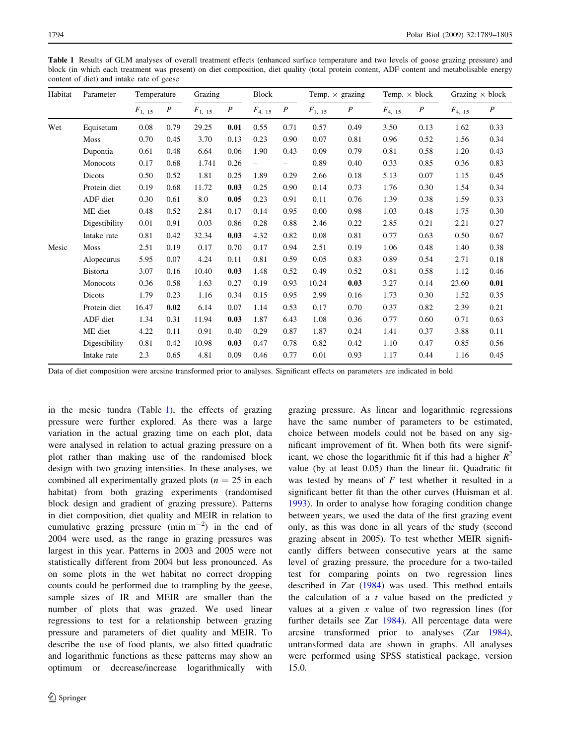<span id="page-5-0"></span>Table 1 Results of GLM analyses of overall treatment effects (enhanced surface temperature and two levels of goose grazing pressure) and block (in which each treatment was present) on diet composition, diet quality (total protein content, ADF content and metabolisable energy content of diet) and intake rate of geese

| Habitat | Parameter       | Temperature |                  | Grazing     |                  | Block             |                          | Temp. $\times$ grazing |                  | Temp. $\times$ block |          | Grazing $\times$ block |                  |
|---------|-----------------|-------------|------------------|-------------|------------------|-------------------|--------------------------|------------------------|------------------|----------------------|----------|------------------------|------------------|
|         |                 | $F_{1, 15}$ | $\boldsymbol{P}$ | $F_{1, 15}$ | $\boldsymbol{P}$ | $F_{4, 15}$       | $\boldsymbol{P}$         | $F_{1, 15}$            | $\boldsymbol{P}$ | $F_{4, 15}$          | $\cal P$ | $F_{4, 15}$            | $\boldsymbol{P}$ |
| Wet     | Equisetum       | 0.08        | 0.79             | 29.25       | 0.01             | 0.55              | 0.71                     | 0.57                   | 0.49             | 3.50                 | 0.13     | 1.62                   | 0.33             |
|         | <b>Moss</b>     | 0.70        | 0.45             | 3.70        | 0.13             | 0.23              | 0.90                     | 0.07                   | 0.81             | 0.96                 | 0.52     | 1.56                   | 0.34             |
|         | Dupontia        | 0.61        | 0.48             | 6.64        | 0.06             | 1.90              | 0.43                     | 0.09                   | 0.79             | 0.81                 | 0.58     | 1.20                   | 0.43             |
|         | Monocots        | 0.17        | 0.68             | 1.741       | 0.26             | $\qquad \qquad -$ | $\overline{\phantom{0}}$ | 0.89                   | 0.40             | 0.33                 | 0.85     | 0.36                   | 0.83             |
|         | Dicots          | 0.50        | 0.52             | 1.81        | 0.25             | 1.89              | 0.29                     | 2.66                   | 0.18             | 5.13                 | 0.07     | 1.15                   | 0.45             |
|         | Protein diet    | 0.19        | 0.68             | 11.72       | 0.03             | 0.25              | 0.90                     | 0.14                   | 0.73             | 1.76                 | 0.30     | 1.54                   | 0.34             |
|         | ADF diet        | 0.30        | 0.61             | 8.0         | 0.05             | 0.23              | 0.91                     | 0.11                   | 0.76             | 1.39                 | 0.38     | 1.59                   | 0.33             |
|         | ME diet         | 0.48        | 0.52             | 2.84        | 0.17             | 0.14              | 0.95                     | 0.00                   | 0.98             | 1.03                 | 0.48     | 1.75                   | 0.30             |
|         | Digestibility   | 0.01        | 0.91             | 0.03        | 0.86             | 0.28              | 0.88                     | 2.46                   | 0.22             | 2.85                 | 0.21     | 2.21                   | 0.27             |
|         | Intake rate     | 0.81        | 0.42             | 32.34       | 0.03             | 4.32              | 0.82                     | 0.08                   | 0.81             | 0.77                 | 0.63     | 0.50                   | 0.67             |
| Mesic   | <b>Moss</b>     | 2.51        | 0.19             | 0.17        | 0.70             | 0.17              | 0.94                     | 2.51                   | 0.19             | 1.06                 | 0.48     | 1.40                   | 0.38             |
|         | Alopecurus      | 5.95        | 0.07             | 4.24        | 0.11             | 0.81              | 0.59                     | 0.05                   | 0.83             | 0.89                 | 0.54     | 2.71                   | 0.18             |
|         | <b>Bistorta</b> | 3.07        | 0.16             | 10.40       | 0.03             | 1.48              | 0.52                     | 0.49                   | 0.52             | 0.81                 | 0.58     | 1.12                   | 0.46             |
|         | Monocots        | 0.36        | 0.58             | 1.63        | 0.27             | 0.19              | 0.93                     | 10.24                  | 0.03             | 3.27                 | 0.14     | 23.60                  | 0.01             |
|         | Dicots          | 1.79        | 0.23             | 1.16        | 0.34             | 0.15              | 0.95                     | 2.99                   | 0.16             | 1.73                 | 0.30     | 1.52                   | 0.35             |
|         | Protein diet    | 16.47       | 0.02             | 6.14        | 0.07             | 1.14              | 0.53                     | 0.17                   | 0.70             | 0.37                 | 0.82     | 2.39                   | 0.21             |
|         | ADF diet        | 1.34        | 0.31             | 11.94       | 0.03             | 1.87              | 6.43                     | 1.08                   | 0.36             | 0.77                 | 0.60     | 0.71                   | 0.63             |
|         | ME diet         | 4.22        | 0.11             | 0.91        | 0.40             | 0.29              | 0.87                     | 1.87                   | 0.24             | 1.41                 | 0.37     | 3.88                   | 0.11             |
|         | Digestibility   | 0.81        | 0.42             | 10.98       | 0.03             | 0.47              | 0.78                     | 0.82                   | 0.42             | 1.10                 | 0.47     | 0.85                   | 0.56             |
|         | Intake rate     | 2.3         | 0.65             | 4.81        | 0.09             | 0.46              | 0.77                     | 0.01                   | 0.93             | 1.17                 | 0.44     | 1.16                   | 0.45             |

Data of diet composition were arcsine transformed prior to analyses. Significant effects on parameters are indicated in bold

in the mesic tundra (Table 1), the effects of grazing pressure were further explored. As there was a large variation in the actual grazing time on each plot, data were analysed in relation to actual grazing pressure on a plot rather than making use of the randomised block design with two grazing intensities. In these analyses, we combined all experimentally grazed plots ( $n = 25$  in each habitat) from both grazing experiments (randomised block design and gradient of grazing pressure). Patterns in diet composition, diet quality and MEIR in relation to cumulative grazing pressure (min  $m^{-2}$ ) in the end of 2004 were used, as the range in grazing pressures was largest in this year. Patterns in 2003 and 2005 were not statistically different from 2004 but less pronounced. As on some plots in the wet habitat no correct dropping counts could be performed due to trampling by the geese, sample sizes of IR and MEIR are smaller than the number of plots that was grazed. We used linear regressions to test for a relationship between grazing pressure and parameters of diet quality and MEIR. To describe the use of food plants, we also fitted quadratic and logarithmic functions as these patterns may show an optimum or decrease/increase logarithmically with

grazing pressure. As linear and logarithmic regressions have the same number of parameters to be estimated, choice between models could not be based on any significant improvement of fit. When both fits were significant, we chose the logarithmic fit if this had a higher  $R^2$ value (by at least 0.05) than the linear fit. Quadratic fit was tested by means of  $F$  test whether it resulted in a significant better fit than the other curves (Huisman et al. [1993](#page-13-0)). In order to analyse how foraging condition change between years, we used the data of the first grazing event only, as this was done in all years of the study (second grazing absent in 2005). To test whether MEIR significantly differs between consecutive years at the same level of grazing pressure, the procedure for a two-tailed test for comparing points on two regression lines described in Zar ([1984\)](#page-14-0) was used. This method entails the calculation of a  $t$  value based on the predicted  $v$ values at a given  $x$  value of two regression lines (for further details see Zar [1984](#page-14-0)). All percentage data were arcsine transformed prior to analyses (Zar [1984](#page-14-0)), untransformed data are shown in graphs. All analyses were performed using SPSS statistical package, version 15.0.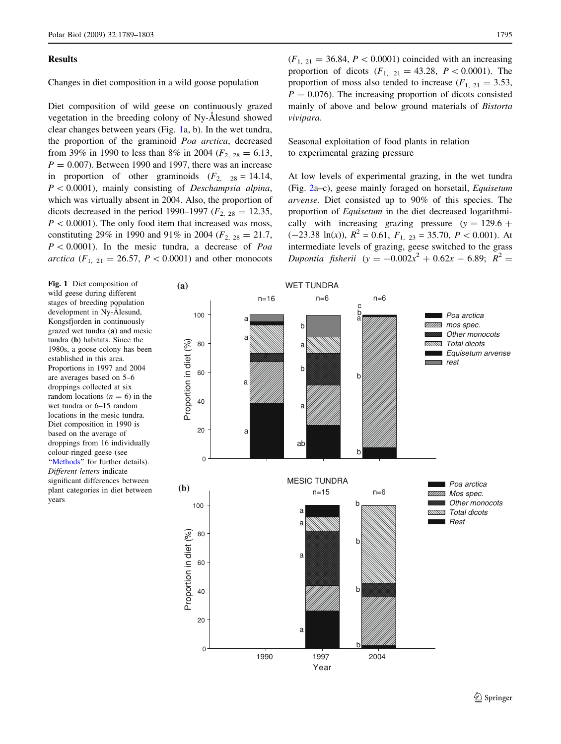## Results

Changes in diet composition in a wild goose population

Diet composition of wild geese on continuously grazed vegetation in the breeding colony of Ny-Alesund showed clear changes between years (Fig. 1a, b). In the wet tundra, the proportion of the graminoid Poa arctica, decreased from 39% in 1990 to less than 8% in 2004 ( $F_{2,28} = 6.13$ ,  $P = 0.007$ . Between 1990 and 1997, there was an increase in proportion of other graminoids  $(F_2, 28 = 14.14,$  $P < 0.0001$ ), mainly consisting of Deschampsia alpina, which was virtually absent in 2004. Also, the proportion of dicots decreased in the period 1990–1997 ( $F_{2, 28} = 12.35$ ,  $P < 0.0001$ ). The only food item that increased was moss, constituting 29% in 1990 and 91% in 2004 ( $F_{2, 28} = 21.7$ ,  $P < 0.0001$ ). In the mesic tundra, a decrease of Poa *arctica* ( $F_{1, 21} = 26.57, P < 0.0001$ ) and other monocots  $(F_{1, 21} = 36.84, P < 0.0001)$  coincided with an increasing proportion of dicots  $(F_{1, 21} = 43.28, P < 0.0001)$ . The proportion of moss also tended to increase  $(F<sub>1, 21</sub> = 3.53)$ ,  $P = 0.076$ . The increasing proportion of dicots consisted mainly of above and below ground materials of Bistorta vivipara.

Seasonal exploitation of food plants in relation to experimental grazing pressure

At low levels of experimental grazing, in the wet tundra (Fig. [2a](#page-7-0)–c), geese mainly foraged on horsetail, Equisetum arvense. Diet consisted up to 90% of this species. The proportion of Equisetum in the diet decreased logarithmically with increasing grazing pressure  $(y = 129.6 +$  $(-23.38 \ln(x)), R^2 = 0.61, F_{1, 23} = 35.70, P < 0.001$ . At intermediate levels of grazing, geese switched to the grass Dupontia fisherii (y =  $-0.002x^2 + 0.62x - 6.89$ ;  $R^2$  =

Fig. 1 Diet composition of wild geese during different stages of breeding population development in Ny-Ålesund, Kongsfjorden in continuously grazed wet tundra (a) and mesic tundra (b) habitats. Since the 1980s, a goose colony has been established in this area. Proportions in 1997 and 2004 are averages based on 5–6 droppings collected at six random locations  $(n = 6)$  in the wet tundra or 6–15 random locations in the mesic tundra. Diet composition in 1990 is based on the average of droppings from 16 individually colour-ringed geese (see "[Methods](#page-1-0)" for further details). Different letters indicate significant differences between plant categories in diet between years

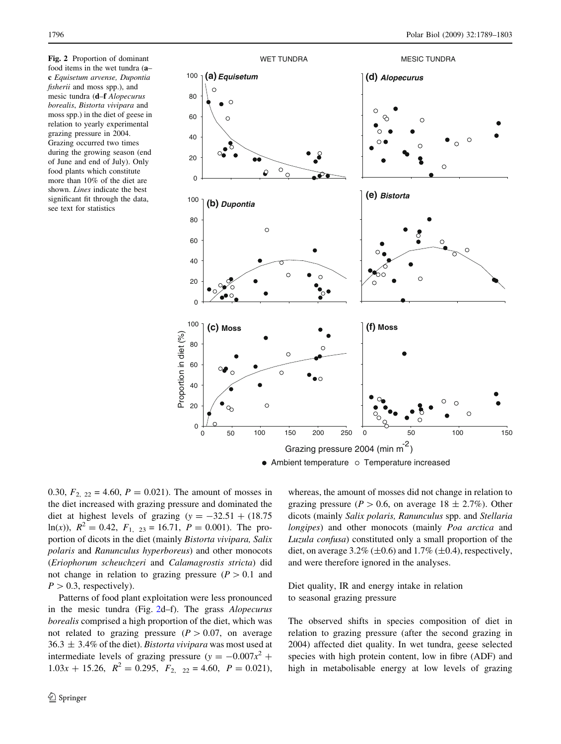<span id="page-7-0"></span>Fig. 2 Proportion of dominant food items in the wet tundra (a– c Equisetum arvense, Dupontia fisherii and moss spp.), and mesic tundra (d–f Alopecurus borealis, Bistorta vivipara and moss spp.) in the diet of geese in relation to yearly experimental grazing pressure in 2004. Grazing occurred two times during the growing season (end of June and end of July). Only food plants which constitute more than 10% of the diet are shown. Lines indicate the best significant fit through the data, see text for statistics



 $\bullet$  Ambient temperature  $\circ$  Temperature increased

0.30,  $F_{2, 22} = 4.60$ ,  $P = 0.021$ ). The amount of mosses in the diet increased with grazing pressure and dominated the diet at highest levels of grazing  $(y = -32.51 + (18.75$ ln(x)),  $R^2 = 0.42$ ,  $F_{1, 23} = 16.71$ ,  $P = 0.001$ ). The proportion of dicots in the diet (mainly Bistorta vivipara, Salix polaris and Ranunculus hyperboreus) and other monocots (Eriophorum scheuchzeri and Calamagrostis stricta) did not change in relation to grazing pressure  $(P > 0.1$  and  $P > 0.3$ , respectively).

Patterns of food plant exploitation were less pronounced in the mesic tundra (Fig. 2d–f). The grass Alopecurus borealis comprised a high proportion of the diet, which was not related to grazing pressure ( $P > 0.07$ , on average  $36.3 \pm 3.4\%$  of the diet). Bistorta vivipara was most used at intermediate levels of grazing pressure ( $y = -0.007x^2 +$  $1.03x + 15.26$ ,  $R^2 = 0.295$ ,  $F_{2,22} = 4.60$ ,  $P = 0.021$ ),

whereas, the amount of mosses did not change in relation to grazing pressure ( $P > 0.6$ , on average 18  $\pm$  2.7%). Other dicots (mainly Salix polaris, Ranunculus spp. and Stellaria longipes) and other monocots (mainly Poa arctica and Luzula confusa) constituted only a small proportion of the diet, on average  $3.2\%$  ( $\pm 0.6$ ) and  $1.7\%$  ( $\pm 0.4$ ), respectively, and were therefore ignored in the analyses.

Diet quality, IR and energy intake in relation to seasonal grazing pressure

The observed shifts in species composition of diet in relation to grazing pressure (after the second grazing in 2004) affected diet quality. In wet tundra, geese selected species with high protein content, low in fibre (ADF) and high in metabolisable energy at low levels of grazing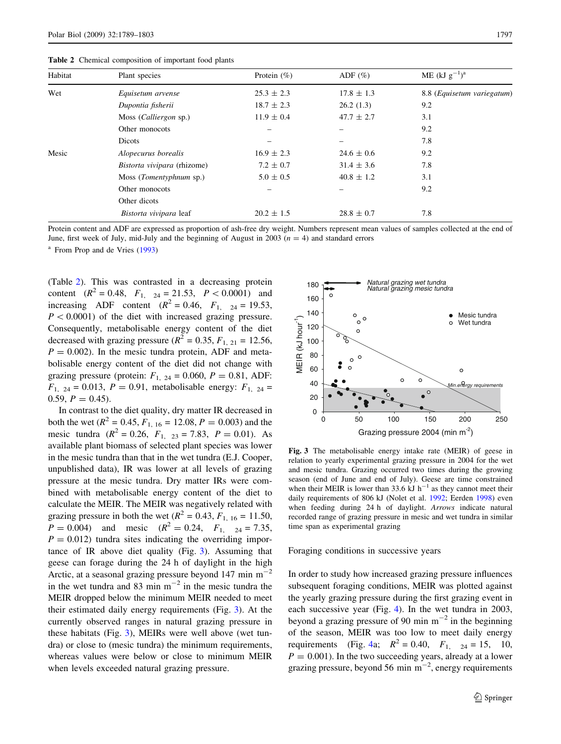Table 2 Chemical composition of important food plants

| Habitat | Plant species               | Protein $(\%)$ | ADF $(\% )$    | ME (kJ $g^{-1}$ ) <sup>a</sup> |  |
|---------|-----------------------------|----------------|----------------|--------------------------------|--|
| Wet     | Equisetum arvense           | $25.3 \pm 2.3$ | $17.8 \pm 1.3$ | 8.8 (Equisetum variegatum)     |  |
|         | Dupontia fisherii           | $18.7 \pm 2.3$ | 26.2(1.3)      | 9.2                            |  |
|         | Moss (Calliergon sp.)       | $11.9 \pm 0.4$ | $47.7 \pm 2.7$ | 3.1                            |  |
|         | Other monocots              |                |                | 9.2                            |  |
|         | Dicots                      |                |                | 7.8                            |  |
| Mesic   | Alopecurus borealis         | $16.9 \pm 2.3$ | $24.6 \pm 0.6$ | 9.2                            |  |
|         | Bistorta vivipara (rhizome) | $7.2 \pm 0.7$  | $31.4 \pm 3.6$ | 7.8                            |  |
|         | Moss (Tomentyphnum sp.)     | $5.0 \pm 0.5$  | $40.8 \pm 1.2$ | 3.1                            |  |
|         | Other monocots              |                |                | 9.2                            |  |
|         | Other dicots                |                |                |                                |  |
|         | Bistorta vivipara leaf      | $20.2 \pm 1.5$ | $28.8 \pm 0.7$ | 7.8                            |  |

Protein content and ADF are expressed as proportion of ash-free dry weight. Numbers represent mean values of samples collected at the end of June, first week of July, mid-July and the beginning of August in 2003 ( $n = 4$ ) and standard errors

<sup>a</sup> From Prop and de Vries [\(1993\)](#page-13-0)

(Table 2). This was contrasted in a decreasing protein content  $(R^2 = 0.48, F_{1, 24} = 21.53, P < 0.0001)$  and increasing ADF content  $(R^2 = 0.46, F_{1, 24} = 19.53,$  $P < 0.0001$ ) of the diet with increased grazing pressure. Consequently, metabolisable energy content of the diet decreased with grazing pressure ( $R^2 = 0.35$ ,  $F_{1, 21} = 12.56$ ,  $P = 0.002$ ). In the mesic tundra protein, ADF and metabolisable energy content of the diet did not change with grazing pressure (protein:  $F_{1, 24} = 0.060, P = 0.81, ADF$ :  $F_{1, 24} = 0.013$ ,  $P = 0.91$ , metabolisable energy:  $F_{1, 24} =$ 0.59,  $P = 0.45$ .

In contrast to the diet quality, dry matter IR decreased in both the wet ( $R^2 = 0.45$ ,  $F_{1, 16} = 12.08$ ,  $P = 0.003$ ) and the mesic tundra  $(R^2 = 0.26, F_{1, 23} = 7.83, P = 0.01)$ . As available plant biomass of selected plant species was lower in the mesic tundra than that in the wet tundra (E.J. Cooper, unpublished data), IR was lower at all levels of grazing pressure at the mesic tundra. Dry matter IRs were combined with metabolisable energy content of the diet to calculate the MEIR. The MEIR was negatively related with grazing pressure in both the wet ( $R^2 = 0.43$ ,  $F_{1, 16} = 11.50$ ,  $P = 0.004$ ) and mesic  $(R^2 = 0.24, F_{1, 24} = 7.35,$  $P = 0.012$ ) tundra sites indicating the overriding importance of IR above diet quality (Fig. 3). Assuming that geese can forage during the 24 h of daylight in the high Arctic, at a seasonal grazing pressure beyond 147 min  $m^{-2}$ in the wet tundra and 83 min  $m^{-2}$  in the mesic tundra the MEIR dropped below the minimum MEIR needed to meet their estimated daily energy requirements (Fig. 3). At the currently observed ranges in natural grazing pressure in these habitats (Fig. 3), MEIRs were well above (wet tundra) or close to (mesic tundra) the minimum requirements, whereas values were below or close to minimum MEIR when levels exceeded natural grazing pressure.



Fig. 3 The metabolisable energy intake rate (MEIR) of geese in relation to yearly experimental grazing pressure in 2004 for the wet and mesic tundra. Grazing occurred two times during the growing season (end of June and end of July). Geese are time constrained when their MEIR is lower than 33.6 kJ  $h^{-1}$  as they cannot meet their daily requirements of 806 kJ (Nolet et al. [1992;](#page-13-0) Eerden [1998\)](#page-13-0) even when feeding during 24 h of daylight. Arrows indicate natural recorded range of grazing pressure in mesic and wet tundra in similar time span as experimental grazing

Foraging conditions in successive years

In order to study how increased grazing pressure influences subsequent foraging conditions, MEIR was plotted against the yearly grazing pressure during the first grazing event in each successive year (Fig. [4](#page-9-0)). In the wet tundra in 2003, beyond a grazing pressure of 90 min  $m^{-2}$  in the beginning of the season, MEIR was too low to meet daily energy requirements (Fig. [4](#page-9-0)a;  $R^2 = 0.40$ ,  $F_{1, 24} = 15$ , 10,  $P = 0.001$ ). In the two succeeding years, already at a lower grazing pressure, beyond 56 min  $m^{-2}$ , energy requirements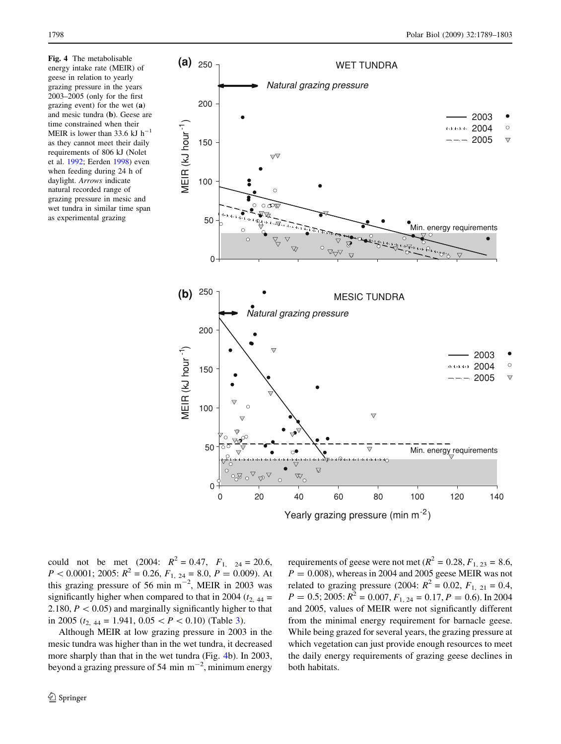<span id="page-9-0"></span>Fig. 4 The metabolisable energy intake rate (MEIR) of geese in relation to yearly grazing pressure in the years 2003–2005 (only for the first grazing event) for the wet (a) and mesic tundra (b). Geese are time constrained when their MEIR is lower than 33.6 kJ  $h^{-1}$ as they cannot meet their daily requirements of 806 kJ (Nolet et al. [1992](#page-13-0); Eerden [1998](#page-13-0)) even when feeding during 24 h of daylight. Arrows indicate natural recorded range of grazing pressure in mesic and wet tundra in similar time span as experimental grazing



Yearly grazing pressure (min m<sup>-2</sup>)

could not be met  $(2004: R^2 = 0.47, F_{1, 24} = 20.6,$  $P < 0.0001$ ; 2005:  $R^2 = 0.26$ ,  $F_{1, 24} = 8.0$ ,  $P = 0.009$ ). At this grazing pressure of 56 min  $m^{-2}$ , MEIR in 2003 was significantly higher when compared to that in 2004 ( $t_{2,44}$  = 2.180,  $P < 0.05$ ) and marginally significantly higher to that in 2005 ( $t_{2,44} = 1.941, 0.05 < P < 0.10$ ) (Table [3](#page-10-0)).

Although MEIR at low grazing pressure in 2003 in the mesic tundra was higher than in the wet tundra, it decreased more sharply than that in the wet tundra (Fig. 4b). In 2003, beyond a grazing pressure of 54 min  $m^{-2}$ , minimum energy

requirements of geese were not met ( $R^2 = 0.28$ ,  $F_{1,23} = 8.6$ ,  $P = 0.008$ , whereas in 2004 and 2005 geese MEIR was not related to grazing pressure (2004:  $R^2 = 0.02$ ,  $F_{1, 21} = 0.4$ ,  $P = 0.5$ ; 2005:  $R^2 = 0.007$ ,  $F_{1, 24} = 0.17$ ,  $P = 0.6$ ). In 2004 and 2005, values of MEIR were not significantly different from the minimal energy requirement for barnacle geese. While being grazed for several years, the grazing pressure at which vegetation can just provide enough resources to meet the daily energy requirements of grazing geese declines in both habitats.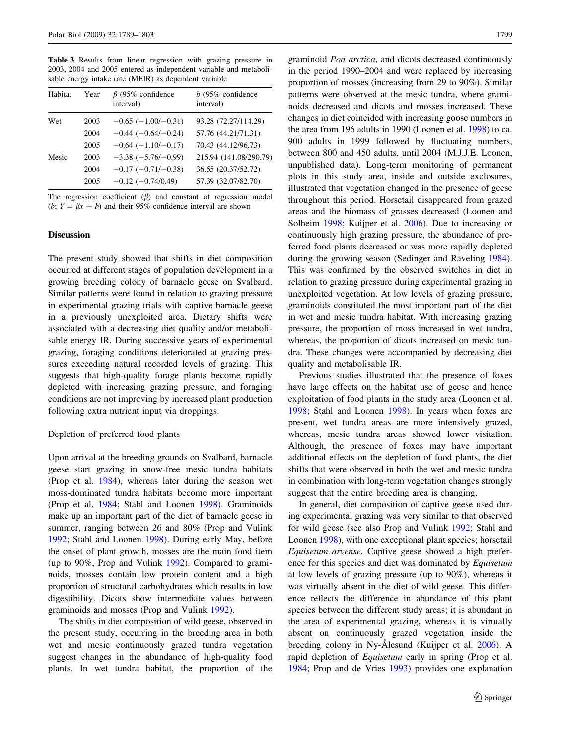<span id="page-10-0"></span>Table 3 Results from linear regression with grazing pressure in 2003, 2004 and 2005 entered as independent variable and metabolisable energy intake rate (MEIR) as dependent variable

| Habitat | Year | $\beta$ (95% confidence<br>interval) | $b$ (95% confidence<br>interval) |
|---------|------|--------------------------------------|----------------------------------|
| Wet     | 2003 | $-0.65$ ( $-1.00/-0.31$ )            | 93.28 (72.27/114.29)             |
|         | 2004 | $-0.44$ ( $-0.64$ / $-0.24$ )        | 57.76 (44.21/71.31)              |
|         | 2005 | $-0.64$ $(-1.10/-0.17)$              | 70.43 (44.12/96.73)              |
| Mesic   | 2003 | $-3.38(-5.76/-0.99)$                 | 215.94 (141.08/290.79)           |
|         | 2004 | $-0.17$ $(-0.71/-0.38)$              | 36.55 (20.37/52.72)              |
|         | 2005 | $-0.12$ ( $-0.74/0.49$ )             | 57.39 (32.07/82.70)              |
|         |      |                                      |                                  |

The regression coefficient  $(\beta)$  and constant of regression model (b;  $Y = \beta x + b$ ) and their 95% confidence interval are shown

## **Discussion**

The present study showed that shifts in diet composition occurred at different stages of population development in a growing breeding colony of barnacle geese on Svalbard. Similar patterns were found in relation to grazing pressure in experimental grazing trials with captive barnacle geese in a previously unexploited area. Dietary shifts were associated with a decreasing diet quality and/or metabolisable energy IR. During successive years of experimental grazing, foraging conditions deteriorated at grazing pressures exceeding natural recorded levels of grazing. This suggests that high-quality forage plants become rapidly depleted with increasing grazing pressure, and foraging conditions are not improving by increased plant production following extra nutrient input via droppings.

## Depletion of preferred food plants

Upon arrival at the breeding grounds on Svalbard, barnacle geese start grazing in snow-free mesic tundra habitats (Prop et al. [1984\)](#page-13-0), whereas later during the season wet moss-dominated tundra habitats become more important (Prop et al. [1984](#page-13-0); Stahl and Loonen [1998](#page-14-0)). Graminoids make up an important part of the diet of barnacle geese in summer, ranging between 26 and 80% (Prop and Vulink [1992;](#page-13-0) Stahl and Loonen [1998\)](#page-14-0). During early May, before the onset of plant growth, mosses are the main food item (up to 90%, Prop and Vulink [1992](#page-13-0)). Compared to graminoids, mosses contain low protein content and a high proportion of structural carbohydrates which results in low digestibility. Dicots show intermediate values between graminoids and mosses (Prop and Vulink [1992\)](#page-13-0).

The shifts in diet composition of wild geese, observed in the present study, occurring in the breeding area in both wet and mesic continuously grazed tundra vegetation suggest changes in the abundance of high-quality food plants. In wet tundra habitat, the proportion of the graminoid Poa arctica, and dicots decreased continuously in the period 1990–2004 and were replaced by increasing proportion of mosses (increasing from 29 to 90%). Similar patterns were observed at the mesic tundra, where graminoids decreased and dicots and mosses increased. These changes in diet coincided with increasing goose numbers in the area from 196 adults in 1990 (Loonen et al. [1998\)](#page-13-0) to ca. 900 adults in 1999 followed by fluctuating numbers, between 800 and 450 adults, until 2004 (M.J.J.E. Loonen, unpublished data). Long-term monitoring of permanent plots in this study area, inside and outside exclosures, illustrated that vegetation changed in the presence of geese throughout this period. Horsetail disappeared from grazed areas and the biomass of grasses decreased (Loonen and Solheim [1998](#page-13-0); Kuijper et al. [2006](#page-13-0)). Due to increasing or continuously high grazing pressure, the abundance of preferred food plants decreased or was more rapidly depleted during the growing season (Sedinger and Raveling [1984](#page-14-0)). This was confirmed by the observed switches in diet in relation to grazing pressure during experimental grazing in unexploited vegetation. At low levels of grazing pressure, graminoids constituted the most important part of the diet in wet and mesic tundra habitat. With increasing grazing pressure, the proportion of moss increased in wet tundra, whereas, the proportion of dicots increased on mesic tundra. These changes were accompanied by decreasing diet quality and metabolisable IR.

Previous studies illustrated that the presence of foxes have large effects on the habitat use of geese and hence exploitation of food plants in the study area (Loonen et al. [1998](#page-13-0); Stahl and Loonen [1998\)](#page-14-0). In years when foxes are present, wet tundra areas are more intensively grazed, whereas, mesic tundra areas showed lower visitation. Although, the presence of foxes may have important additional effects on the depletion of food plants, the diet shifts that were observed in both the wet and mesic tundra in combination with long-term vegetation changes strongly suggest that the entire breeding area is changing.

In general, diet composition of captive geese used during experimental grazing was very similar to that observed for wild geese (see also Prop and Vulink [1992](#page-13-0); Stahl and Loonen [1998](#page-14-0)), with one exceptional plant species; horsetail Equisetum arvense. Captive geese showed a high preference for this species and diet was dominated by Equisetum at low levels of grazing pressure (up to 90%), whereas it was virtually absent in the diet of wild geese. This difference reflects the difference in abundance of this plant species between the different study areas; it is abundant in the area of experimental grazing, whereas it is virtually absent on continuously grazed vegetation inside the breeding colony in Ny-Ålesund (Kuijper et al. [2006\)](#page-13-0). A rapid depletion of Equisetum early in spring (Prop et al. [1984](#page-13-0); Prop and de Vries [1993](#page-13-0)) provides one explanation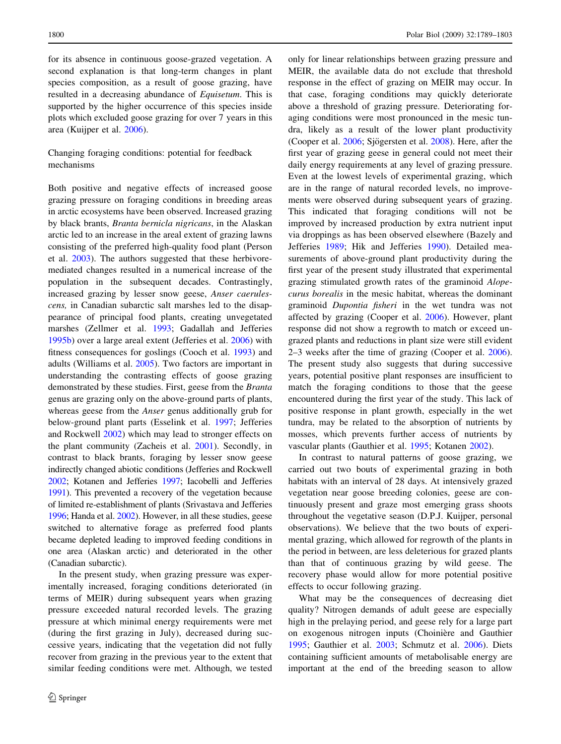for its absence in continuous goose-grazed vegetation. A second explanation is that long-term changes in plant species composition, as a result of goose grazing, have resulted in a decreasing abundance of Equisetum. This is supported by the higher occurrence of this species inside plots which excluded goose grazing for over 7 years in this area (Kuijper et al. [2006\)](#page-13-0).

Changing foraging conditions: potential for feedback mechanisms

Both positive and negative effects of increased goose grazing pressure on foraging conditions in breeding areas in arctic ecosystems have been observed. Increased grazing by black brants, Branta bernicla nigricans, in the Alaskan arctic led to an increase in the areal extent of grazing lawns consisting of the preferred high-quality food plant (Person et al. [2003](#page-13-0)). The authors suggested that these herbivoremediated changes resulted in a numerical increase of the population in the subsequent decades. Contrastingly, increased grazing by lesser snow geese, Anser caerulescens, in Canadian subarctic salt marshes led to the disappearance of principal food plants, creating unvegetated marshes (Zellmer et al. [1993](#page-14-0); Gadallah and Jefferies [1995b\)](#page-13-0) over a large areal extent (Jefferies et al. [2006](#page-13-0)) with fitness consequences for goslings (Cooch et al. [1993\)](#page-13-0) and adults (Williams et al. [2005\)](#page-14-0). Two factors are important in understanding the contrasting effects of goose grazing demonstrated by these studies. First, geese from the Branta genus are grazing only on the above-ground parts of plants, whereas geese from the Anser genus additionally grub for below-ground plant parts (Esselink et al. [1997;](#page-13-0) Jefferies and Rockwell [2002\)](#page-13-0) which may lead to stronger effects on the plant community (Zacheis et al. [2001\)](#page-14-0). Secondly, in contrast to black brants, foraging by lesser snow geese indirectly changed abiotic conditions (Jefferies and Rockwell [2002](#page-13-0); Kotanen and Jefferies [1997](#page-13-0); Iacobelli and Jefferies [1991](#page-13-0)). This prevented a recovery of the vegetation because of limited re-establishment of plants (Srivastava and Jefferies [1996](#page-14-0); Handa et al. [2002\)](#page-13-0). However, in all these studies, geese switched to alternative forage as preferred food plants became depleted leading to improved feeding conditions in one area (Alaskan arctic) and deteriorated in the other (Canadian subarctic).

In the present study, when grazing pressure was experimentally increased, foraging conditions deteriorated (in terms of MEIR) during subsequent years when grazing pressure exceeded natural recorded levels. The grazing pressure at which minimal energy requirements were met (during the first grazing in July), decreased during successive years, indicating that the vegetation did not fully recover from grazing in the previous year to the extent that similar feeding conditions were met. Although, we tested only for linear relationships between grazing pressure and MEIR, the available data do not exclude that threshold response in the effect of grazing on MEIR may occur. In that case, foraging conditions may quickly deteriorate above a threshold of grazing pressure. Deteriorating foraging conditions were most pronounced in the mesic tundra, likely as a result of the lower plant productivity (Cooper et al.  $2006$ ; Sjögersten et al.  $2008$ ). Here, after the first year of grazing geese in general could not meet their daily energy requirements at any level of grazing pressure. Even at the lowest levels of experimental grazing, which are in the range of natural recorded levels, no improvements were observed during subsequent years of grazing. This indicated that foraging conditions will not be improved by increased production by extra nutrient input via droppings as has been observed elsewhere (Bazely and Jefferies [1989](#page-12-0); Hik and Jefferies [1990](#page-13-0)). Detailed measurements of above-ground plant productivity during the first year of the present study illustrated that experimental grazing stimulated growth rates of the graminoid Alopecurus borealis in the mesic habitat, whereas the dominant graminoid Dupontia fisheri in the wet tundra was not affected by grazing (Cooper et al. [2006\)](#page-13-0). However, plant response did not show a regrowth to match or exceed ungrazed plants and reductions in plant size were still evident 2–3 weeks after the time of grazing (Cooper et al. [2006](#page-13-0)). The present study also suggests that during successive years, potential positive plant responses are insufficient to match the foraging conditions to those that the geese encountered during the first year of the study. This lack of positive response in plant growth, especially in the wet tundra, may be related to the absorption of nutrients by mosses, which prevents further access of nutrients by vascular plants (Gauthier et al. [1995](#page-13-0); Kotanen [2002\)](#page-13-0).

In contrast to natural patterns of goose grazing, we carried out two bouts of experimental grazing in both habitats with an interval of 28 days. At intensively grazed vegetation near goose breeding colonies, geese are continuously present and graze most emerging grass shoots throughout the vegetative season (D.P.J. Kuijper, personal observations). We believe that the two bouts of experimental grazing, which allowed for regrowth of the plants in the period in between, are less deleterious for grazed plants than that of continuous grazing by wild geese. The recovery phase would allow for more potential positive effects to occur following grazing.

What may be the consequences of decreasing diet quality? Nitrogen demands of adult geese are especially high in the prelaying period, and geese rely for a large part on exogenous nitrogen inputs (Choinière and Gauthier [1995](#page-13-0); Gauthier et al. [2003](#page-13-0); Schmutz et al. [2006\)](#page-14-0). Diets containing sufficient amounts of metabolisable energy are important at the end of the breeding season to allow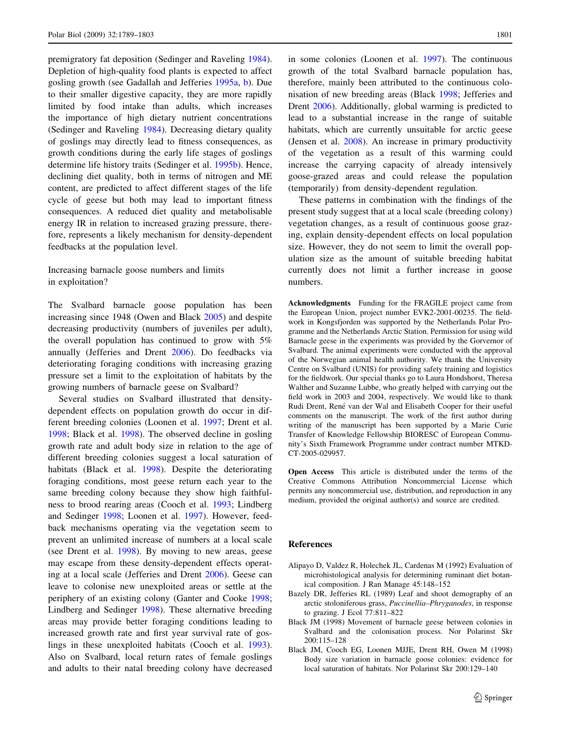<span id="page-12-0"></span>premigratory fat deposition (Sedinger and Raveling [1984](#page-14-0)). Depletion of high-quality food plants is expected to affect gosling growth (see Gadallah and Jefferies [1995a,](#page-13-0) [b\)](#page-13-0). Due to their smaller digestive capacity, they are more rapidly limited by food intake than adults, which increases the importance of high dietary nutrient concentrations (Sedinger and Raveling [1984\)](#page-14-0). Decreasing dietary quality of goslings may directly lead to fitness consequences, as growth conditions during the early life stages of goslings determine life history traits (Sedinger et al. [1995b\)](#page-14-0). Hence, declining diet quality, both in terms of nitrogen and ME content, are predicted to affect different stages of the life cycle of geese but both may lead to important fitness consequences. A reduced diet quality and metabolisable energy IR in relation to increased grazing pressure, therefore, represents a likely mechanism for density-dependent feedbacks at the population level.

# Increasing barnacle goose numbers and limits in exploitation?

The Svalbard barnacle goose population has been increasing since 1948 (Owen and Black [2005\)](#page-13-0) and despite decreasing productivity (numbers of juveniles per adult), the overall population has continued to grow with 5% annually (Jefferies and Drent [2006](#page-13-0)). Do feedbacks via deteriorating foraging conditions with increasing grazing pressure set a limit to the exploitation of habitats by the growing numbers of barnacle geese on Svalbard?

Several studies on Svalbard illustrated that densitydependent effects on population growth do occur in different breeding colonies (Loonen et al. [1997;](#page-13-0) Drent et al. [1998;](#page-13-0) Black et al. 1998). The observed decline in gosling growth rate and adult body size in relation to the age of different breeding colonies suggest a local saturation of habitats (Black et al. 1998). Despite the deteriorating foraging conditions, most geese return each year to the same breeding colony because they show high faithfulness to brood rearing areas (Cooch et al. [1993;](#page-13-0) Lindberg and Sedinger [1998](#page-13-0); Loonen et al. [1997\)](#page-13-0). However, feedback mechanisms operating via the vegetation seem to prevent an unlimited increase of numbers at a local scale (see Drent et al. [1998\)](#page-13-0). By moving to new areas, geese may escape from these density-dependent effects operating at a local scale (Jefferies and Drent [2006\)](#page-13-0). Geese can leave to colonise new unexploited areas or settle at the periphery of an existing colony (Ganter and Cooke [1998](#page-13-0); Lindberg and Sedinger [1998\)](#page-13-0). These alternative breeding areas may provide better foraging conditions leading to increased growth rate and first year survival rate of goslings in these unexploited habitats (Cooch et al. [1993](#page-13-0)). Also on Svalbard, local return rates of female goslings and adults to their natal breeding colony have decreased in some colonies (Loonen et al. [1997](#page-13-0)). The continuous growth of the total Svalbard barnacle population has, therefore, mainly been attributed to the continuous colonisation of new breeding areas (Black 1998; Jefferies and Drent [2006](#page-13-0)). Additionally, global warming is predicted to lead to a substantial increase in the range of suitable habitats, which are currently unsuitable for arctic geese (Jensen et al. [2008](#page-13-0)). An increase in primary productivity of the vegetation as a result of this warming could increase the carrying capacity of already intensively goose-grazed areas and could release the population (temporarily) from density-dependent regulation.

These patterns in combination with the findings of the present study suggest that at a local scale (breeding colony) vegetation changes, as a result of continuous goose grazing, explain density-dependent effects on local population size. However, they do not seem to limit the overall population size as the amount of suitable breeding habitat currently does not limit a further increase in goose numbers.

Acknowledgments Funding for the FRAGILE project came from the European Union, project number EVK2-2001-00235. The fieldwork in Kongsfjorden was supported by the Netherlands Polar Programme and the Netherlands Arctic Station. Permission for using wild Barnacle geese in the experiments was provided by the Gorvernor of Svalbard. The animal experiments were conducted with the approval of the Norwegian animal health authority. We thank the University Centre on Svalbard (UNIS) for providing safety training and logistics for the fieldwork. Our special thanks go to Laura Hondshorst, Theresa Walther and Suzanne Lubbe, who greatly helped with carrying out the field work in 2003 and 2004, respectively. We would like to thank Rudi Drent, René van der Wal and Elisabeth Cooper for their useful comments on the manuscript. The work of the first author during writing of the manuscript has been supported by a Marie Curie Transfer of Knowledge Fellowship BIORESC of European Community's Sixth Framework Programme under contract number MTKD-CT-2005-029957.

Open Access This article is distributed under the terms of the Creative Commons Attribution Noncommercial License which permits any noncommercial use, distribution, and reproduction in any medium, provided the original author(s) and source are credited.

#### References

- Alipayo D, Valdez R, Holechek JL, Cardenas M (1992) Evaluation of microhistological analysis for determining ruminant diet botanical composition. J Ran Manage 45:148–152
- Bazely DR, Jefferies RL (1989) Leaf and shoot demography of an arctic stoloniferous grass, Puccinellia–Phryganodes, in response to grazing. J Ecol 77:811–822
- Black JM (1998) Movement of barnacle geese between colonies in Svalbard and the colonisation process. Nor Polarinst Skr 200:115–128
- Black JM, Cooch EG, Loonen MJJE, Drent RH, Owen M (1998) Body size variation in barnacle goose colonies: evidence for local saturation of habitats. Nor Polarinst Skr 200:129–140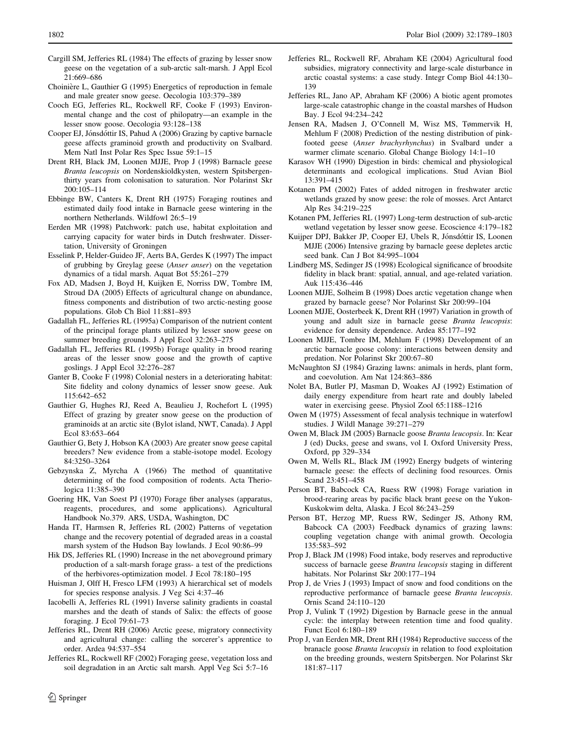- <span id="page-13-0"></span>Cargill SM, Jefferies RL (1984) The effects of grazing by lesser snow geese on the vegetation of a sub-arctic salt-marsh. J Appl Ecol 21:669–686
- Choinière L, Gauthier G (1995) Energetics of reproduction in female and male greater snow geese. Oecologia 103:379–389
- Cooch EG, Jefferies RL, Rockwell RF, Cooke F (1993) Environmental change and the cost of philopatry—an example in the lesser snow goose. Oecologia 93:128–138
- Cooper EJ, Jónsdóttir IS, Pahud A (2006) Grazing by captive barnacle geese affects graminoid growth and productivity on Svalbard. Mem Natl Inst Polar Res Spec Issue 59:1–15
- Drent RH, Black JM, Loonen MJJE, Prop J (1998) Barnacle geese Branta leucopsis on Nordenskioldkysten, western Spitsbergenthirty years from colonisation to saturation. Nor Polarinst Skr 200:105–114
- Ebbinge BW, Canters K, Drent RH (1975) Foraging routines and estimated daily food intake in Barnacle geese wintering in the northern Netherlands. Wildfowl 26:5–19
- Eerden MR (1998) Patchwork: patch use, habitat exploitation and carrying capacity for water birds in Dutch freshwater. Dissertation, University of Groningen
- Esselink P, Helder-Guideo JF, Aerts BA, Gerdes K (1997) The impact of grubbing by Greylag geese (Anser anser) on the vegetation dynamics of a tidal marsh. Aquat Bot 55:261–279
- Fox AD, Madsen J, Boyd H, Kuijken E, Norriss DW, Tombre IM, Stroud DA (2005) Effects of agricultural change on abundance, fitness components and distribution of two arctic-nesting goose populations. Glob Ch Biol 11:881–893
- Gadallah FL, Jefferies RL (1995a) Comparison of the nutrient content of the principal forage plants utilized by lesser snow geese on summer breeding grounds. J Appl Ecol 32:263–275
- Gadallah FL, Jefferies RL (1995b) Forage quality in brood rearing areas of the lesser snow goose and the growth of captive goslings. J Appl Ecol 32:276–287
- Ganter B, Cooke F (1998) Colonial nesters in a deteriorating habitat: Site fidelity and colony dynamics of lesser snow geese. Auk 115:642–652
- Gauthier G, Hughes RJ, Reed A, Beaulieu J, Rochefort L (1995) Effect of grazing by greater snow geese on the production of graminoids at an arctic site (Bylot island, NWT, Canada). J Appl Ecol 83:653–664
- Gauthier G, Bety J, Hobson KA (2003) Are greater snow geese capital breeders? New evidence from a stable-isotope model. Ecology 84:3250–3264
- Gebzynska Z, Myrcha A (1966) The method of quantitative determining of the food composition of rodents. Acta Theriologica 11:385–390
- Goering HK, Van Soest PJ (1970) Forage fiber analyses (apparatus, reagents, procedures, and some applications). Agricultural Handbook No.379. ARS, USDA, Washington, DC
- Handa IT, Harmsen R, Jefferies RL (2002) Patterns of vegetation change and the recovery potential of degraded areas in a coastal marsh system of the Hudson Bay lowlands. J Ecol 90:86–99
- Hik DS, Jefferies RL (1990) Increase in the net aboveground primary production of a salt-marsh forage grass- a test of the predictions of the herbivores-optimization model. J Ecol 78:180–195
- Huisman J, Olff H, Fresco LFM (1993) A hierarchical set of models for species response analysis. J Veg Sci 4:37–46
- Iacobelli A, Jefferies RL (1991) Inverse salinity gradients in coastal marshes and the death of stands of Salix: the effects of goose foraging. J Ecol 79:61–73
- Jefferies RL, Drent RH (2006) Arctic geese, migratory connectivity and agricultural change: calling the sorcerer's apprentice to order. Ardea 94:537–554
- Jefferies RL, Rockwell RF (2002) Foraging geese, vegetation loss and soil degradation in an Arctic salt marsh. Appl Veg Sci 5:7–16
- Jefferies RL, Rockwell RF, Abraham KE (2004) Agricultural food subsidies, migratory connectivity and large-scale disturbance in arctic coastal systems: a case study. Integr Comp Biol 44:130– 139
- Jefferies RL, Jano AP, Abraham KF (2006) A biotic agent promotes large-scale catastrophic change in the coastal marshes of Hudson Bay. J Ecol 94:234–242
- Jensen RA, Madsen J, O'Connell M, Wisz MS, Tømmervik H, Mehlum F (2008) Prediction of the nesting distribution of pinkfooted geese (Anser brachyrhynchus) in Svalbard under a warmer climate scenario. Global Change Biology 14:1–10
- Karasov WH (1990) Digestion in birds: chemical and physiological determinants and ecological implications. Stud Avian Biol 13:391–415
- Kotanen PM (2002) Fates of added nitrogen in freshwater arctic wetlands grazed by snow geese: the role of mosses. Arct Antarct Alp Res 34:219–225
- Kotanen PM, Jefferies RL (1997) Long-term destruction of sub-arctic wetland vegetation by lesser snow geese. Ecoscience 4:179–182
- Kuijper DPJ, Bakker JP, Cooper EJ, Ubels R, Jónsdóttir IS, Loonen MJJE (2006) Intensive grazing by barnacle geese depletes arctic seed bank. Can J Bot 84:995–1004
- Lindberg MS, Sedinger JS (1998) Ecological significance of broodsite fidelity in black brant: spatial, annual, and age-related variation. Auk 115:436–446
- Loonen MJJE, Solheim B (1998) Does arctic vegetation change when grazed by barnacle geese? Nor Polarinst Skr 200:99–104
- Loonen MJJE, Oosterbeek K, Drent RH (1997) Variation in growth of young and adult size in barnacle geese Branta leucopsis: evidence for density dependence. Ardea 85:177–192
- Loonen MJJE, Tombre IM, Mehlum F (1998) Development of an arctic barnacle goose colony: interactions between density and predation. Nor Polarinst Skr 200:67–80
- McNaughton SJ (1984) Grazing lawns: animals in herds, plant form, and coevolution. Am Nat 124:863–886
- Nolet BA, Butler PJ, Masman D, Woakes AJ (1992) Estimation of daily energy expenditure from heart rate and doubly labeled water in exercising geese. Physiol Zool 65:1188–1216
- Owen M (1975) Assessment of fecal analysis technique in waterfowl studies. J Wildl Manage 39:271–279
- Owen M, Black JM (2005) Barnacle goose Branta leucopsis. In: Kear J (ed) Ducks, geese and swans, vol I. Oxford University Press, Oxford, pp 329–334
- Owen M, Wells RL, Black JM (1992) Energy budgets of wintering barnacle geese: the effects of declining food resources. Ornis Scand 23:451–458
- Person BT, Babcock CA, Ruess RW (1998) Forage variation in brood-rearing areas by pacific black brant geese on the Yukon-Kuskokwim delta, Alaska. J Ecol 86:243–259
- Person BT, Herzog MP, Ruess RW, Sedinger JS, Athony RM, Babcock CA (2003) Feedback dynamics of grazing lawns: coupling vegetation change with animal growth. Oecologia 135:583–592
- Prop J, Black JM (1998) Food intake, body reserves and reproductive success of barnacle geese Brantra leucopsis staging in different habitats. Nor Polarinst Skr 200:177–194
- Prop J, de Vries J (1993) Impact of snow and food conditions on the reproductive performance of barnacle geese Branta leucopsis. Ornis Scand 24:110–120
- Prop J, Vulink T (1992) Digestion by Barnacle geese in the annual cycle: the interplay between retention time and food quality. Funct Ecol 6:180–189
- Prop J, van Eerden MR, Drent RH (1984) Reproductive success of the branacle goose Branta leucopsis in relation to food exploitation on the breeding grounds, western Spitsbergen. Nor Polarinst Skr 181:87–117